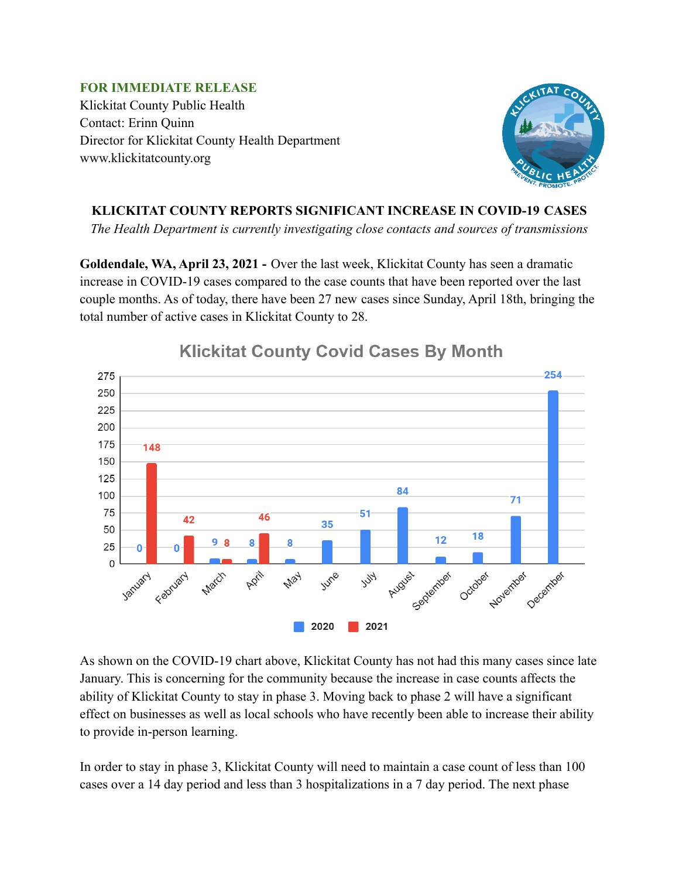**FOR IMMEDIATE RELEASE** Klickitat County Public Health Contact: Erinn Quinn Director for Klickitat County Health Department www.klickitatcounty.org



## **KLICKITAT COUNTY REPORTS SIGNIFICANT INCREASE IN COVID-19 CASES**

*The Health Department is currently investigating close contacts and sources of transmissions*

**Goldendale, WA, April 23, 2021 -** Over the last week, Klickitat County has seen a dramatic increase in COVID-19 cases compared to the case counts that have been reported over the last couple months. As of today, there have been 27 new cases since Sunday, April 18th, bringing the total number of active cases in Klickitat County to 28.



## **Klickitat County Covid Cases By Month**

As shown on the COVID-19 chart above, Klickitat County has not had this many cases since late January. This is concerning for the community because the increase in case counts affects the ability of Klickitat County to stay in phase 3. Moving back to phase 2 will have a significant effect on businesses as well as local schools who have recently been able to increase their ability to provide in-person learning.

In order to stay in phase 3, Klickitat County will need to maintain a case count of less than 100 cases over a 14 day period and less than 3 hospitalizations in a 7 day period. The next phase